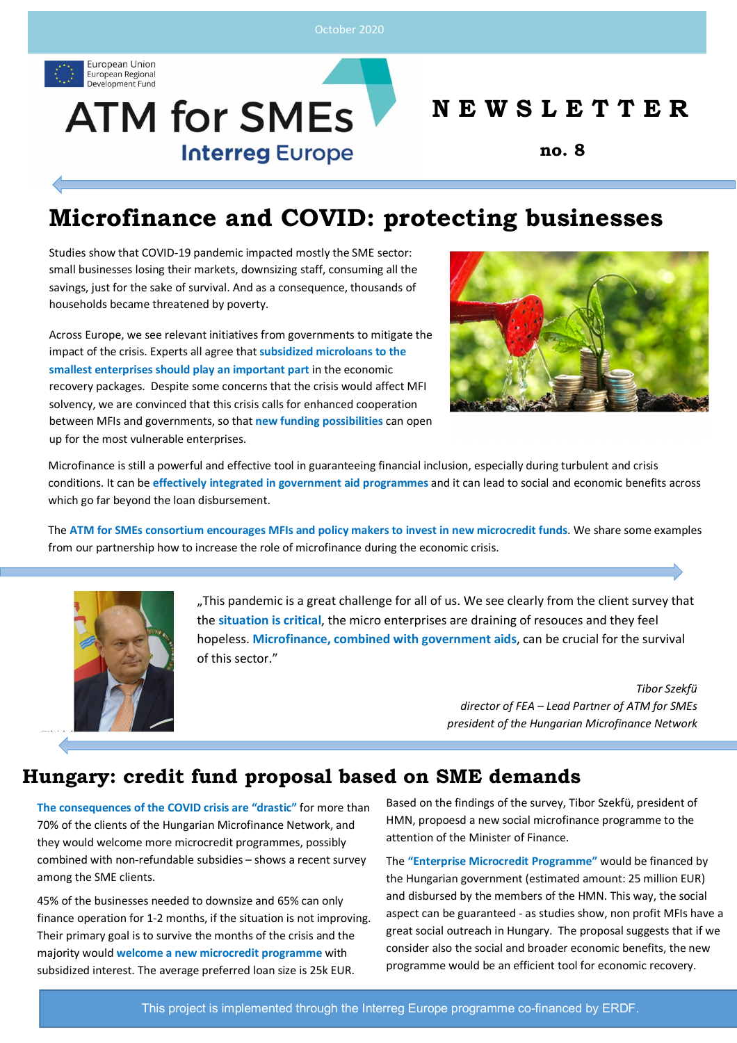

# **ATM for SMEs Interreg Europe**

### **N E W S L E T T E R**

**no. 8**

## **Microfinance and COVID: protecting businesses**

Studies show that COVID-19 pandemic impacted mostly the SME sector: small businesses losing their markets, downsizing staff, consuming all the savings, just for the sake of survival. And as a consequence, thousands of households became threatened by poverty.

Across Europe, we see relevant initiatives from governments to mitigate the impact of the crisis. Experts all agree that **subsidized microloans to the smallest enterprises should play an important part** in the economic recovery packages. Despite some concerns that the crisis would affect MFI solvency, we are convinced that this crisis calls for enhanced cooperation between MFIs and governments, so that **new funding possibilities** can open up for the most vulnerable enterprises.



Microfinance is still a powerful and effective tool in guaranteeing financial inclusion, especially during turbulent and crisis conditions. It can be **effectively integrated in government aid programmes** and it can lead to social and economic benefits across which go far beyond the loan disbursement.

The **ATM for SMEs consortium encourages MFIs and policy makers to invest in new microcredit funds**. We share some examples from our partnership how to increase the role of microfinance during the economic crisis.



"This pandemic is a great challenge for all of us. We see clearly from the client survey that the **situation is critical**, the micro enterprises are draining of resouces and they feel hopeless. **Microfinance, combined with government aids**, can be crucial for the survival of this sector."

> *Tibor Szekfü director of FEA – Lead Partner of ATM for SMEs president of the Hungarian Microfinance Network*

#### **Hungary: credit fund proposal based on SME demands**

**The consequences of the COVID crisis are "drastic"** for more than 70% of the clients of the Hungarian Microfinance Network, and they would welcome more microcredit programmes, possibly combined with non-refundable subsidies – shows a recent survey among the SME clients.

45% of the businesses needed to downsize and 65% can only finance operation for 1-2 months, if the situation is not improving. Their primary goal is to survive the months of the crisis and the majority would **welcome a new microcredit programme** with subsidized interest. The average preferred loan size is 25k EUR.

Based on the findings of the survey, Tibor Szekfü, president of HMN, propoesd a new social microfinance programme to the attention of the Minister of Finance.

The **"Enterprise Microcredit Programme"** would be financed by the Hungarian government (estimated amount: 25 million EUR) and disbursed by the members of the HMN. This way, the social aspect can be guaranteed - as studies show, non profit MFIs have a great social outreach in Hungary. The proposal suggests that if we consider also the social and broader economic benefits, the new programme would be an efficient tool for economic recovery.